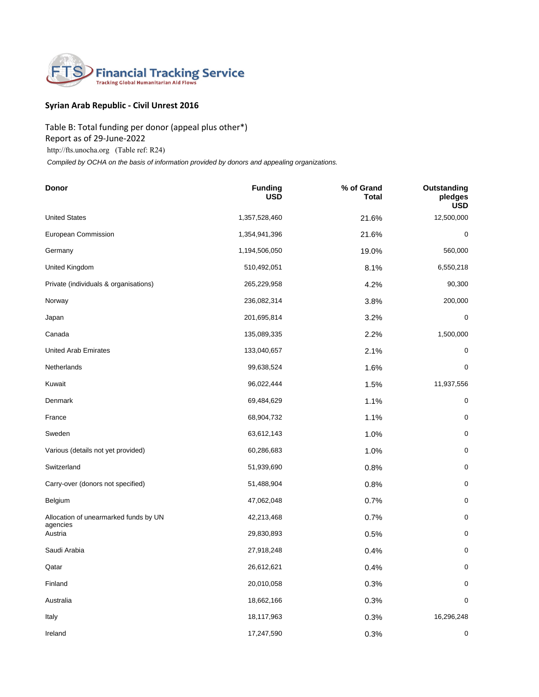

## **Syrian Arab Republic - Civil Unrest 2016**

## Table B: Total funding per donor (appeal plus other\*) Report as of 29-June-2022

http://fts.unocha.org (Table ref: R24)

 *Compiled by OCHA on the basis of information provided by donors and appealing organizations.*

| Donor                                 | <b>Funding</b><br><b>USD</b> | % of Grand<br><b>Total</b> | Outstanding<br>pledges<br><b>USD</b> |
|---------------------------------------|------------------------------|----------------------------|--------------------------------------|
| <b>United States</b>                  | 1,357,528,460                | 21.6%                      | 12,500,000                           |
| European Commission                   | 1,354,941,396                | 21.6%                      | 0                                    |
| Germany                               | 1,194,506,050                | 19.0%                      | 560,000                              |
| United Kingdom                        | 510,492,051                  | 8.1%                       | 6,550,218                            |
| Private (individuals & organisations) | 265,229,958                  | 4.2%                       | 90,300                               |
| Norway                                | 236,082,314                  | 3.8%                       | 200,000                              |
| Japan                                 | 201,695,814                  | 3.2%                       | 0                                    |
| Canada                                | 135,089,335                  | 2.2%                       | 1,500,000                            |
| <b>United Arab Emirates</b>           | 133,040,657                  | 2.1%                       | $\mathbf 0$                          |
| Netherlands                           | 99,638,524                   | 1.6%                       | 0                                    |
| Kuwait                                | 96,022,444                   | 1.5%                       | 11,937,556                           |
| Denmark                               | 69,484,629                   | 1.1%                       | $\mathbf 0$                          |
| France                                | 68,904,732                   | 1.1%                       | $\mathbf 0$                          |
| Sweden                                | 63,612,143                   | 1.0%                       | $\mathbf 0$                          |
| Various (details not yet provided)    | 60,286,683                   | 1.0%                       | $\pmb{0}$                            |
| Switzerland                           | 51,939,690                   | 0.8%                       | $\mathbf 0$                          |
| Carry-over (donors not specified)     | 51,488,904                   | 0.8%                       | $\mathbf 0$                          |
| Belgium                               | 47,062,048                   | 0.7%                       | $\mathbf 0$                          |
| Allocation of unearmarked funds by UN | 42,213,468                   | 0.7%                       | $\mathbf 0$                          |
| agencies<br>Austria                   | 29,830,893                   | 0.5%                       | 0                                    |
| Saudi Arabia                          | 27,918,248                   | 0.4%                       | $\pmb{0}$                            |
| Qatar                                 | 26,612,621                   | 0.4%                       | $\mathbf 0$                          |
| Finland                               | 20,010,058                   | 0.3%                       | $\mathbf 0$                          |
| Australia                             | 18,662,166                   | 0.3%                       | 0                                    |
| Italy                                 | 18,117,963                   | 0.3%                       | 16,296,248                           |
| Ireland                               | 17,247,590                   | 0.3%                       | 0                                    |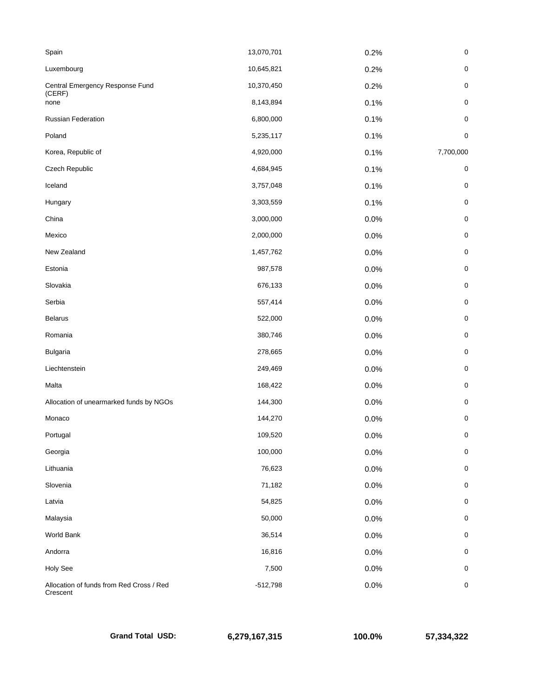| Spain                                                | 13,070,701 | 0.2% | $\pmb{0}$   |
|------------------------------------------------------|------------|------|-------------|
| Luxembourg                                           | 10,645,821 | 0.2% | $\pmb{0}$   |
| Central Emergency Response Fund<br>(CERF)            | 10,370,450 | 0.2% | $\mathbf 0$ |
| none                                                 | 8,143,894  | 0.1% | $\pmb{0}$   |
| <b>Russian Federation</b>                            | 6,800,000  | 0.1% | $\pmb{0}$   |
| Poland                                               | 5,235,117  | 0.1% | $\mathbf 0$ |
| Korea, Republic of                                   | 4,920,000  | 0.1% | 7,700,000   |
| Czech Republic                                       | 4,684,945  | 0.1% | $\mathbf 0$ |
| Iceland                                              | 3,757,048  | 0.1% | $\pmb{0}$   |
| Hungary                                              | 3,303,559  | 0.1% | $\mathbf 0$ |
| China                                                | 3,000,000  | 0.0% | $\pmb{0}$   |
| Mexico                                               | 2,000,000  | 0.0% | $\mathbf 0$ |
| New Zealand                                          | 1,457,762  | 0.0% | $\pmb{0}$   |
| Estonia                                              | 987,578    | 0.0% | $\pmb{0}$   |
| Slovakia                                             | 676,133    | 0.0% | $\pmb{0}$   |
| Serbia                                               | 557,414    | 0.0% | $\mathbf 0$ |
| <b>Belarus</b>                                       | 522,000    | 0.0% | $\mathbf 0$ |
| Romania                                              | 380,746    | 0.0% | $\mathbf 0$ |
| <b>Bulgaria</b>                                      | 278,665    | 0.0% | $\pmb{0}$   |
| Liechtenstein                                        | 249,469    | 0.0% | $\pmb{0}$   |
| Malta                                                | 168,422    | 0.0% | $\pmb{0}$   |
| Allocation of unearmarked funds by NGOs              | 144,300    | 0.0% | $\mathbf 0$ |
| Monaco                                               | 144,270    | 0.0% | 0           |
| Portugal                                             | 109,520    | 0.0% | 0           |
| Georgia                                              | 100,000    | 0.0% | $\pmb{0}$   |
| Lithuania                                            | 76,623     | 0.0% | $\pmb{0}$   |
| Slovenia                                             | 71,182     | 0.0% | $\pmb{0}$   |
| Latvia                                               | 54,825     | 0.0% | $\mathbf 0$ |
| Malaysia                                             | 50,000     | 0.0% | $\pmb{0}$   |
| World Bank                                           | 36,514     | 0.0% | $\mathbf 0$ |
| Andorra                                              | 16,816     | 0.0% | $\pmb{0}$   |
| Holy See                                             | 7,500      | 0.0% | $\pmb{0}$   |
| Allocation of funds from Red Cross / Red<br>Crescent | $-512,798$ | 0.0% | $\mathbf 0$ |

**Grand Total USD: 6,279,167,315 100.0% 57,334,322**